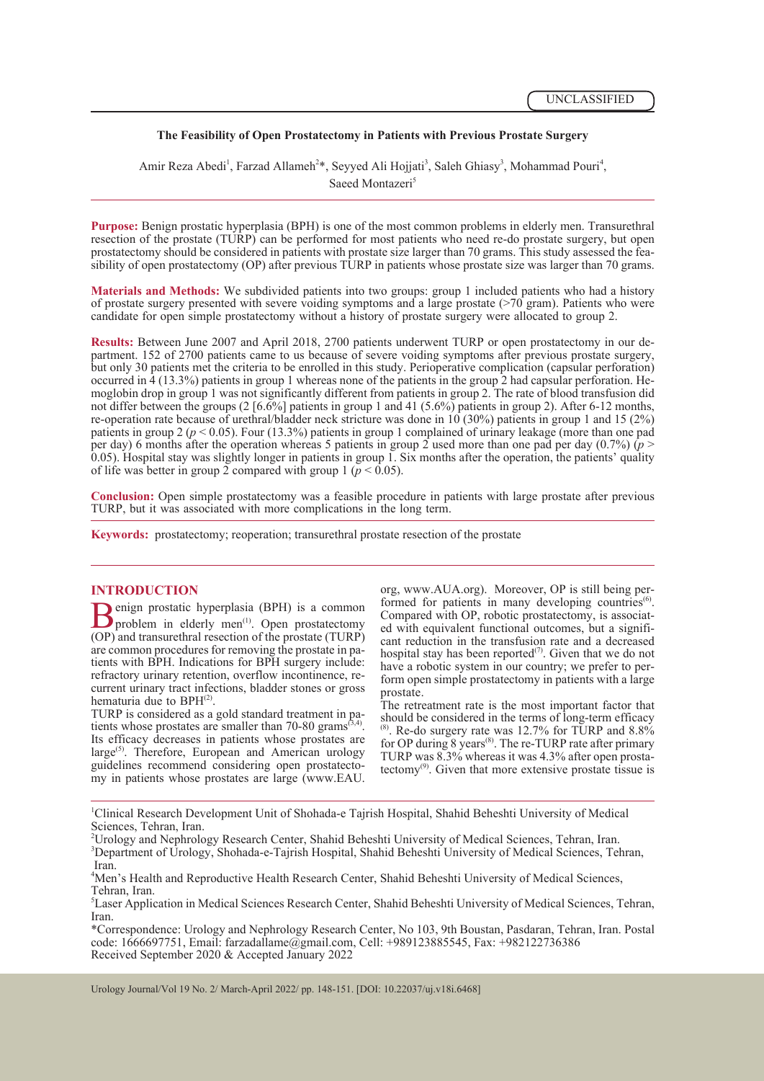# **The Feasibility of Open Prostatectomy in Patients with Previous Prostate Surgery**

Amir Reza Abedi<sup>1</sup>, Farzad Allameh<sup>2\*</sup>, Seyyed Ali Hojjati<sup>3</sup>, Saleh Ghiasy<sup>3</sup>, Mohammad Pouri<sup>4</sup>, Saeed Montazeri<sup>5</sup>

**Purpose:** Benign prostatic hyperplasia (BPH) is one of the most common problems in elderly men. Transurethral resection of the prostate (TURP) can be performed for most patients who need re-do prostate surgery, but open<br>prostatectomy should be considered in patients with prostate size larger than 70 grams. This study assessed the sibility of open prostatectomy (OP) after previous TURP in patients whose prostate size was larger than 70 grams.

**Materials and Methods:** We subdivided patients into two groups: group 1 included patients who had a history of prostate surgery presented with severe voiding symptoms and a large prostate (>70 gram). Patients who were candidate for open simple prostatectomy without a history of prostate surgery were allocated to group 2.

**Results:** Between June 2007 and April 2018, 2700 patients underwent TURP or open prostatectomy in our department. 152 of 2700 patients came to us because of severe voiding symptoms after previous prostate surgery, but only 30 patients met the criteria to be enrolled in this study. Perioperative complication (capsular perforation) occurred in 4 (13.3%) patients in group 1 whereas none of the patients in the group 2 had capsular perfo moglobin drop in group 1 was not significantly different from patients in group 2. The rate of blood transfusion did not differ between the groups  $(2 \mid 6.6\% \mid)$  patients in group 1 and 41 (5.6%) patients in group 2). After 6-12 months, re-operation rate because of urethral/bladder neck stricture was done in 10 (30%) patients in group 1 and 15 (2%) patients in group 2 ( $p < 0.05$ ). Four (13.3%) patients in group 1 complained of urinary leakage (more than one pad per day) 6 months after the operation whereas 5 patients in group 2 used more than one pad per day  $(0.7\%)$   $(p >$  $0.05$ ). Hospital stay was slightly longer in patients in group 1. Six months after the operation, the patients' quality of life was better in group 2 compared with group 1 ( $p < 0.05$ ).

**Conclusion:** Open simple prostatectomy was a feasible procedure in patients with large prostate after previous TURP, but it was associated with more complications in the long term.

**Keywords:** prostatectomy; reoperation; transurethral prostate resection of the prostate

# **INTRODUCTION**

**B**enign prostatic hyperplasia (BPH) is a common problem in elderly men<sup>(1)</sup>. Open prostatectomy (OP) and transurethral resection of the prostate (TURP) problem in elderly men<sup>(1)</sup>. Open prostatectomy (OP) and transurethral resection of the prostate (TURP) are common procedures for removing the prostate in patients with BPH. Indications for BPH surgery include: refractory urinary retention, overflow incontinence, recurrent urinary tract infections, bladder stones or gross hematuria due to BPH<sup>(2)</sup>.

TURP is considered as a gold standard treatment in pa-<br>tients whose prostates are smaller than 70-80 grams<sup>(3,4)</sup>. Its efficacy decreases in patients whose prostates are large<sup>(5)</sup>. Therefore, European and American urology guidelines recommend considering open prostatecto- my in patients whose prostates are large (www.EAU. org, www.AUA.org). Moreover, OP is still being per-<br>formed for patients in many developing countries<sup>(6)</sup>.<br>Compared with OP, robotic prostatectomy, is associated with equivalent functional outcomes, but a signifi-<br>cant red hospital stay has been reported<sup> $(7)$ </sup>. Given that we do not have a robotic system in our country; we prefer to perform open simple prostatectomy in patients with a large prostate.

The retreatment rate is the most important factor that should be considered in the terms of long-term efficacy  $^{(8)}$ . Re-do surgery rate was 12.7% for TURP and 8.8% for OP during 8 years<sup>(8)</sup>. The re-TURP rate after primary TURP was  $8.3\%$  whereas it was  $4.3\%$  after open prostatectomy<sup>(9)</sup>. Given that more extensive prostate tissue is

<sup>1</sup>Clinical Research Development Unit of Shohada-e Tajrish Hospital, Shahid Beheshti University of Medical Sciences, Tehran, Iran.

\*Correspondence: Urology and Nephrology Research Center, No 103, 9th Boustan, Pasdaran, Tehran, Iran. Postal code: 1666697751, Email: farzadallame@gmail.com, Cell: +989123885545, Fax: +982122736386 Received September 2020 & Accepted January 2022

Urology Journal/Vol 19 No. 2/ March-April 2022/ pp. 148-151. [DOI: 10.22037/uj.v18i.6468]

<sup>2</sup> Urology and Nephrology Research Center, Shahid Beheshti University of Medical Sciences, Tehran, Iran. <sup>3</sup>Department of Urology, Shohada-e-Tajrish Hospital, Shahid Beheshti University of Medical Sciences, Tehran,

Iran. 4 Men's Health and Reproductive Health Research Center, Shahid Beheshti University of Medical Sciences, Tehran, Iran.

<sup>5</sup> Laser Application in Medical Sciences Research Center, Shahid Beheshti University of Medical Sciences, Tehran, Iran.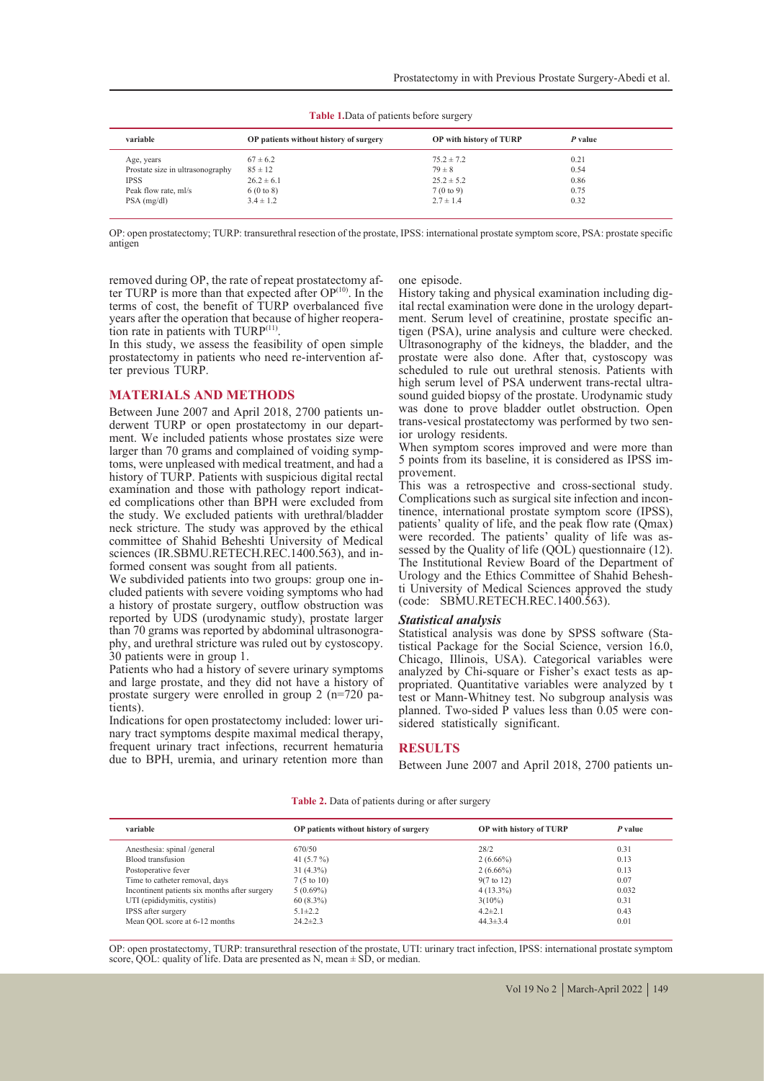| Table 1. Data of patients before surgery |  |
|------------------------------------------|--|
|------------------------------------------|--|

| variable                         | OP patients without history of surgery | OP with history of TURP | P value |
|----------------------------------|----------------------------------------|-------------------------|---------|
| Age, years                       | $67 \pm 6.2$                           | $75.2 \pm 7.2$          | 0.21    |
| Prostate size in ultrasonography | $85 \pm 12$                            | $79 \pm 8$              | 0.54    |
| <b>IPSS</b>                      | $26.2 \pm 6.1$                         | $25.2 \pm 5.2$          | 0.86    |
| Peak flow rate, ml/s             | 6(0 to 8)                              | 7(0 to 9)               | 0.75    |
| $PSA$ (mg/dl)                    | $3.4 \pm 1.2$                          | $2.7 \pm 1.4$           | 0.32    |

OP: open prostatectomy; TURP: transurethral resection of the prostate, IPSS: international prostate symptom score, PSA: prostate specific antigen

removed during OP, the rate of repeat prostatectomy after TURP is more than that expected after OP<sup>(10)</sup>. In the terms of cost, the benefit of TURP overbalanced five tion rate in patients with TURP<sup> $(11)$ </sup>. In this study, we assess the feasibility of open simple

prostatectomy in patients who need re-intervention af- ter previous TURP.

### **MATERIALS AND METHODS**

Between June 2007 and April 2018, 2700 patients un-<br>derwent TURP or open prostatectomy in our depart-<br>ment. We included patients whose prostates size were<br>larger than 70 grams and complained of voiding symptoms, were unpleased with medical treatment, and had a history of TURP. Patients with suspicious digital rectal examination and those with pathology report indicated complications other than BPH were excluded from the study. We excluded patients with urethral/bladder neck stricture. The study was approved by the ethical committee of Shahid Beheshti University of Medical sciences (IR.SBMU.RETECH.REC.1400.563), and in-<br>formed consent was sought from all patients.<br>We subdivided patients into two groups: group one in-

cluded patients with severe voiding symptoms who had a history of prostate surgery, outflow obstruction was reported by UDS (urodynamic study), prostate larger than 70 grams was reported by abdominal ultrasonography, and urethral stricture was ruled out by cystoscopy. 30 patients were in group 1.

Patients who had a history of severe urinary symptoms and large prostate, and they did not have a history of prostate surgery were enrolled in group 2 ( $n=720$  patients).

Indications for open prostatectomy included: lower uri- nary tract symptoms despite maximal medical therapy, frequent urinary tract infections, recurrent hematuria due to BPH, uremia, and urinary retention more than

one episode.<br>History taking and physical examination including digital rectal examination were done in the urology depart-<br>ment. Serum level of creatinine, prostate specific an-<br>tigen (PSA), urine analysis and culture were checked. Ultrasonography of the kidneys, the bladder, and the prostate were also done. After that, cystoscopy was scheduled to rule out urethral stenosis. Patients with high serum level of PSA underwent trans-rectal ultra- sound guided biopsy of the prostate. Urodynamic study was done to prove bladder outlet obstruction. Open trans-vesical prostatectomy was performed by two sen- ior urology residents.

When symptom scores improved and were more than 5 points from its baseline, it is considered as IPSS im- provement.

This was a retrospective and cross-sectional study. Complications such as surgical site infection and incon-<br>tinence, international prostate symptom score (IPSS), patients' quality of life, and the peak flow rate (Qmax) were recorded. The patients' quality of life was assessed by the Quality of life  $(QOL)$  questionnaire (12). The Institutional Review Board of the Department of ti University of Medical Sciences approved the study (code: SBMU.RETECH.REC.1400.563).

*Statistical analysis* tistical Package for the Social Science, version 16.0, Chicago, Illinois, USA). Categorical variables were analyzed by Chi-square or Fisher's exact tests as ap- propriated. Quantitative variables were analyzed by t test or Mann-Whitney test. No subgroup analysis was planned. Two-sided  $\tilde{P}$  values less than 0.05 were considered statistically significant.

### **RESULTS**

Between June 2007 and April 2018, 2700 patients un-

| OP patients without history of surgery                   | OP with history of |  |
|----------------------------------------------------------|--------------------|--|
| <b>Table 2.</b> Data of patients during or after surgery |                    |  |

| variable                                      | OP patients without history of surgery | OP with history of TURP | P value |
|-----------------------------------------------|----------------------------------------|-------------------------|---------|
| Anesthesia: spinal /general                   | 670/50                                 | 28/2                    | 0.31    |
| Blood transfusion                             | 41 $(5.7\%)$                           | $2(6.66\%)$             | 0.13    |
| Postoperative fever                           | $31(4.3\%)$                            | $2(6.66\%)$             | 0.13    |
| Time to catheter removal, days                | $7(5 \text{ to } 10)$                  | $9(7 \text{ to } 12)$   | 0.07    |
| Incontinent patients six months after surgery | $5(0.69\%)$                            | $4(13.3\%)$             | 0.032   |
| UTI (epididymitis, cystitis)                  | $60(8.3\%)$                            | $3(10\%)$               | 0.31    |
| <b>IPSS</b> after surgery                     | $5.1 \pm 2.2$                          | $4.2 \pm 2.1$           | 0.43    |
| Mean QOL score at 6-12 months                 | $24.2 \pm 2.3$                         | $44.3 \pm 3.4$          | 0.01    |
|                                               |                                        |                         |         |

OP: open prostatectomy, TURP: transurethral resection of the prostate, UTI: urinary tract infection, IPSS: international prostate symptom score,  $QOL$ : quality of life. Data are presented as N, mean  $\pm$  SD, or median.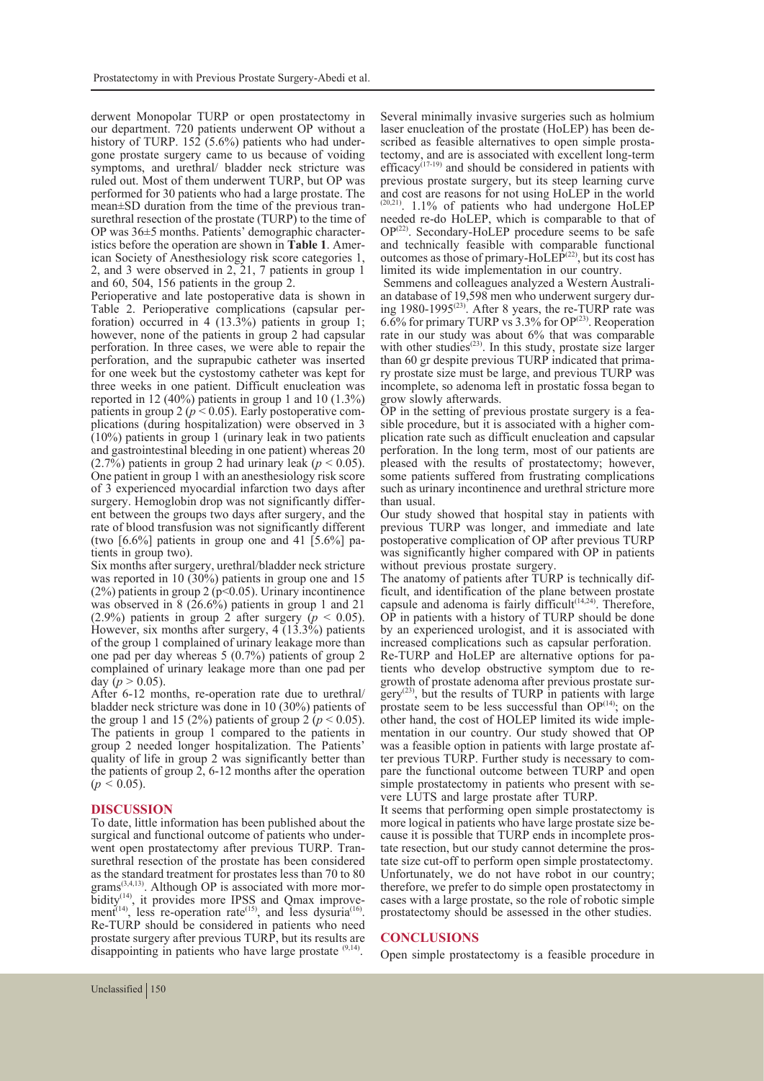derwent Monopolar TURP or open prostatectomy in our department. 720 patients underwent OP without a history of TURP. 152 (5.6%) patients who had under-<br>gone prostate surgery came to us because of voiding symptoms, and urethral/ bladder neck stricture was ruled out. Most of them underwent TURP, but OP was performed for 30 patients who had a large prostate. The mean±SD duration from the time of the previous tran-<br>surethral resection of the prostate (TURP) to the time of<br>OP was 36±5 months. Patients' demographic characteristics before the operation are shown in **Table 1**. Amer-<br>ican Society of Anesthesiology risk score categories 1, 2, and 3 were observed in 2, 21, 7 patients in group 1 and 60, 504, 156 patients in the group 2.

Perioperative and late postoperative data is shown in Table 2. Perioperative complications (capsular perforation) occurred in 4 (13.3%) patients in group 1; however, none of the patients in group 2 had capsular perforation. In three cases, we were able to repair the perforation, and the suprapubic catheter was inserted for one week but the cystostomy catheter was kept for three weeks in one patient. Difficult enucleation was reported in 12 (40%) patients in group 1 and 10 (1.3%) patients in group 2 ( $p < 0.05$ ). Early postoperative complications (during hospitalization) were observed in 3 (10%) patients in group 1 (urinary leak in two patients and gastrointestinal bleeding in one patient) whereas 20  $(2.7\%)$  patients in group 2 had urinary leak ( $p < 0.05$ ). One patient in group 1 with an anesthesiology risk score of 3 experienced myocardial infarction two days after ent between the groups two days after surgery, and the rate of blood transfusion was not significantly different (two  $[6.6\%]$  patients in group one and 41  $[5.6\%]$  patients in group two).

Six months after surgery, urethral/bladder neck stricture was reported in 10 (30%) patients in group one and 15 (2%) patients in group 2 ( $p$ <0.05). Urinary incontinence was observed in 8 (26.6%) patients in group 1 and 21 (2.9%) patients in group 2 after surgery  $(p < 0.05)$ . However, six months after surgery,  $4(13.3\%)$  patients of the group 1 complained of urinary leakage more than one pad per day whereas 5 (0.7%) patients of group 2 complained of urinary leakage more than one pad per day  $(p > 0.05)$ .

After 6-12 months, re-operation rate due to urethral/ bladder neck stricture was done in 10 (30%) patients of the group 1 and 15 (2%) patients of group 2 ( $p < 0.05$ ). The patients in group 1 compared to the patients in group 2 needed longer hospitalization. The Patients' quality of life in group 2 was significantly better than the patients of group 2, 6-12 months after the operation  $(p < 0.05)$ .

# **DISCUSSION**

To date, little information has been published about the went open prostatectomy after previous TURP. Tran-<br>surethral resection of the prostate has been considered as the standard treatment for prostates less than 70 to 80 grams<sup> $(3,4,13)$ </sup>. Although OP is associated with more morbidity<sup>(14)</sup>, it provides more IPSS and Qmax improve-<br>ment<sup>(14)</sup>, less re-operation rate<sup>(15)</sup>, and less dysuria<sup>(16)</sup>.<br>Re-TURP should be considered in patients who need prostate surgery after previous TURP, but its results are disappointing in patients who have large prostate <sup>(9,14)</sup>.

Several minimally invasive surgeries such as holmium<br>laser enucleation of the prostate (HoLEP) has been described as feasible alternatives to open simple prostate tectomy, and are is associated with excellent long-term efficacy<sup> $(17-19)$ </sup> and should be considered in patients with previous prostate surgery, but its steep learning curve and cost are reasons for not using HoLEP in the world (20,21). 1.1% of patients who had undergone HoLEP needed re-do HoLEP, which is comparable to that of  $OP^{(22)}$ . Secondary-HoLEP procedure seems to be safe and technically feasible with comparable functional outcomes as those of primary-HoLE $\hat{P}^{(22)}$ , but its cost has

limited its wide implementation in our country. an database of 19,598 men who underwent surgery during  $1980-1995^{(23)}$ . After 8 years, the re-TURP rate was 6.6% for primary TURP vs  $3.3\%$  for OP<sup>(23)</sup>. Reoperation rate in our study was about 6% that was comparable with other studies<sup> $(23)$ </sup>. In this study, prostate size larger than 60 gr despite previous TURP indicated that prima- ry prostate size must be large, and previous TURP was incomplete, so adenoma left in prostatic fossa began to grow slowly afterwards.

OP in the setting of previous prostate surgery is a fea- sible procedure, but it is associated with a higher com- plication rate such as difficult enucleation and capsular perforation. In the long term, most of our patients are pleased with the results of prostatectomy; however, some patients suffered from frustrating complications such as urinary incontinence and urethral stricture more than usual.

Our study showed that hospital stay in patients with previous TURP was longer, and immediate and late postoperative complication of OP after previous TURP was significantly higher compared with OP in patients without previous prostate surgery.

The anatomy of patients after TURP is technically dif- ficult, and identification of the plane between prostate capsule and adenoma is fairly difficult $(14,24)$ . Therefore, OP in patients with a history of TURP should be done by an experienced urologist, and it is associated with increased complications such as capsular perforation.<br>Re-TURP and HoLEP are alternative options for patients who develop obstructive symptom due to re-<br>growth of prostate adenoma after previous prostate sur-<br> $gerv^{(23)}$ , but the results of TURP in patients with large prostate seem to be less successful than  $OP^{(14)}$ ; on the other hand, the cost of HOLEP limited its wide implementation in our country. Our study showed that OP was a feasible option in patients with large prostate after previous TURP. Further study is necessary to com-<br>pare the functional outcome between TURP and open simple prostatectomy in patients who present with se- vere LUTS and large prostate after TURP.

It seems that performing open simple prostatectomy is more logical in patients who have large prostate size be-<br>cause it is possible that TURP ends in incomplete pros-<br>tate resection, but our study cannot determine the pros-<br>tate size cut-off to perform open simple prostatect Unfortunately, we do not have robot in our country; therefore, we prefer to do simple open prostatectomy in cases with a large prostate, so the role of robotic simple prostatectomy should be assessed in the other studies.

# **CONCLUSIONS**

Open simple prostatectomy is a feasible procedure in